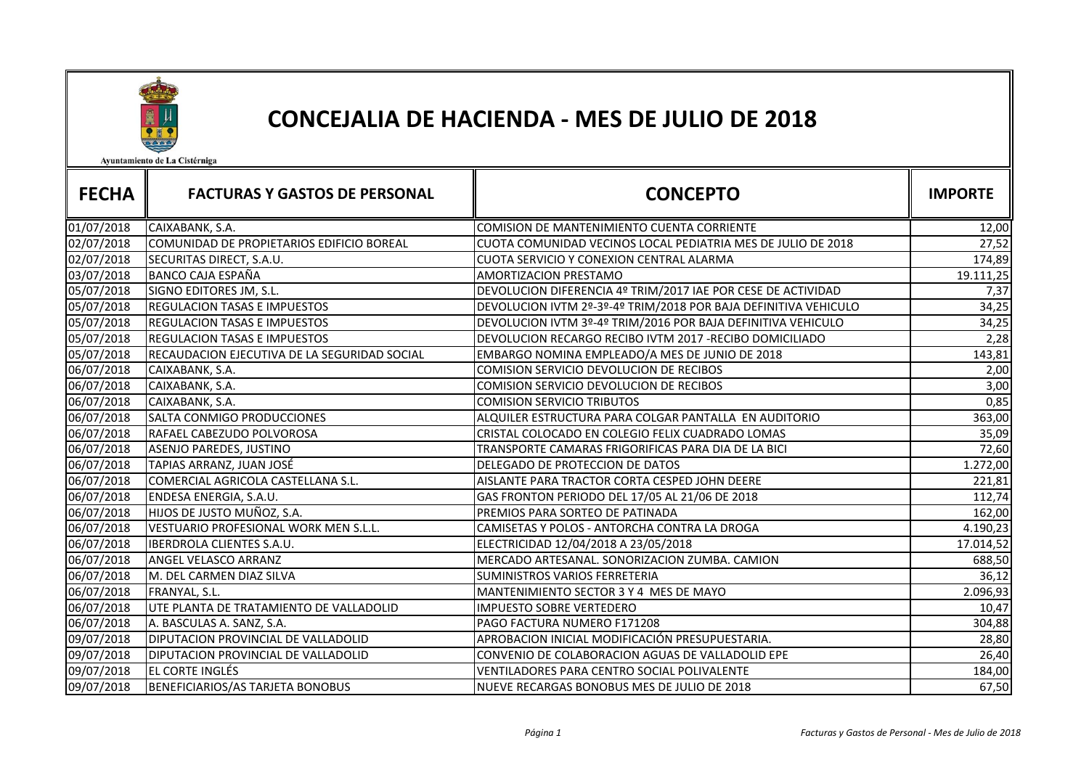

## CONCEJALIA DE HACIENDA - MES DE JULIO DE 2018

Ayuntamiento de La Cistérniga

| <b>FECHA</b> | <b>FACTURAS Y GASTOS DE PERSONAL</b>         | <b>CONCEPTO</b>                                                 | <b>IMPORTE</b> |
|--------------|----------------------------------------------|-----------------------------------------------------------------|----------------|
| 01/07/2018   | CAIXABANK, S.A.                              | COMISION DE MANTENIMIENTO CUENTA CORRIENTE                      | 12,00          |
| 02/07/2018   | COMUNIDAD DE PROPIETARIOS EDIFICIO BOREAL    | CUOTA COMUNIDAD VECINOS LOCAL PEDIATRIA MES DE JULIO DE 2018    | 27,52          |
| 02/07/2018   | SECURITAS DIRECT, S.A.U.                     | CUOTA SERVICIO Y CONEXION CENTRAL ALARMA                        | 174,89         |
| 03/07/2018   | <b>BANCO CAJA ESPAÑA</b>                     | AMORTIZACION PRESTAMO                                           | 19.111,25      |
| 05/07/2018   | SIGNO EDITORES JM, S.L.                      | DEVOLUCION DIFERENCIA 4º TRIM/2017 IAE POR CESE DE ACTIVIDAD    | 7,37           |
| 05/07/2018   | <b>REGULACION TASAS E IMPUESTOS</b>          | DEVOLUCION IVTM 2º-3º-4º TRIM/2018 POR BAJA DEFINITIVA VEHICULO | 34,25          |
| 05/07/2018   | <b>REGULACION TASAS E IMPUESTOS</b>          | DEVOLUCION IVTM 3º-4º TRIM/2016 POR BAJA DEFINITIVA VEHICULO    | 34,25          |
| 05/07/2018   | <b>REGULACION TASAS E IMPUESTOS</b>          | DEVOLUCION RECARGO RECIBO IVTM 2017 - RECIBO DOMICILIADO        | 2,28           |
| 05/07/2018   | RECAUDACION EJECUTIVA DE LA SEGURIDAD SOCIAL | EMBARGO NOMINA EMPLEADO/A MES DE JUNIO DE 2018                  | 143,81         |
| 06/07/2018   | CAIXABANK, S.A.                              | COMISION SERVICIO DEVOLUCION DE RECIBOS                         | 2,00           |
| 06/07/2018   | CAIXABANK, S.A.                              | <b>COMISION SERVICIO DEVOLUCION DE RECIBOS</b>                  | 3,00           |
| 06/07/2018   | CAIXABANK, S.A.                              | <b>COMISION SERVICIO TRIBUTOS</b>                               | 0,85           |
| 06/07/2018   | SALTA CONMIGO PRODUCCIONES                   | ALQUILER ESTRUCTURA PARA COLGAR PANTALLA EN AUDITORIO           | 363,00         |
| 06/07/2018   | RAFAEL CABEZUDO POLVOROSA                    | CRISTAL COLOCADO EN COLEGIO FELIX CUADRADO LOMAS                | 35,09          |
| 06/07/2018   | <b>ASENJO PAREDES, JUSTINO</b>               | TRANSPORTE CAMARAS FRIGORIFICAS PARA DIA DE LA BICI             | 72,60          |
| 06/07/2018   | TAPIAS ARRANZ, JUAN JOSÉ                     | DELEGADO DE PROTECCION DE DATOS                                 | 1.272,00       |
| 06/07/2018   | COMERCIAL AGRICOLA CASTELLANA S.L.           | AISLANTE PARA TRACTOR CORTA CESPED JOHN DEERE                   | 221,81         |
| 06/07/2018   | ENDESA ENERGIA, S.A.U.                       | GAS FRONTON PERIODO DEL 17/05 AL 21/06 DE 2018                  | 112,74         |
| 06/07/2018   | HIJOS DE JUSTO MUÑOZ, S.A.                   | PREMIOS PARA SORTEO DE PATINADA                                 | 162,00         |
| 06/07/2018   | VESTUARIO PROFESIONAL WORK MEN S.L.L.        | CAMISETAS Y POLOS - ANTORCHA CONTRA LA DROGA                    | 4.190,23       |
| 06/07/2018   | IBERDROLA CLIENTES S.A.U.                    | ELECTRICIDAD 12/04/2018 A 23/05/2018                            | 17.014,52      |
| 06/07/2018   | ANGEL VELASCO ARRANZ                         | MERCADO ARTESANAL. SONORIZACION ZUMBA. CAMION                   | 688,50         |
| 06/07/2018   | M. DEL CARMEN DIAZ SILVA                     | SUMINISTROS VARIOS FERRETERIA                                   | 36,12          |
| 06/07/2018   | FRANYAL, S.L.                                | MANTENIMIENTO SECTOR 3 Y 4 MES DE MAYO                          | 2.096,93       |
| 06/07/2018   | UTE PLANTA DE TRATAMIENTO DE VALLADOLID      | <b>IMPUESTO SOBRE VERTEDERO</b>                                 | 10,47          |
| 06/07/2018   | A. BASCULAS A. SANZ, S.A.                    | PAGO FACTURA NUMERO F171208                                     | 304,88         |
| 09/07/2018   | <b>DIPUTACION PROVINCIAL DE VALLADOLID</b>   | APROBACION INICIAL MODIFICACIÓN PRESUPUESTARIA.                 | 28,80          |
| 09/07/2018   | DIPUTACION PROVINCIAL DE VALLADOLID          | CONVENIO DE COLABORACION AGUAS DE VALLADOLID EPE                | 26,40          |
| 09/07/2018   | EL CORTE INGLÉS                              | <b>VENTILADORES PARA CENTRO SOCIAL POLIVALENTE</b>              | 184,00         |
| 09/07/2018   | <b>BENEFICIARIOS/AS TARJETA BONOBUS</b>      | NUEVE RECARGAS BONOBUS MES DE JULIO DE 2018                     | 67,50          |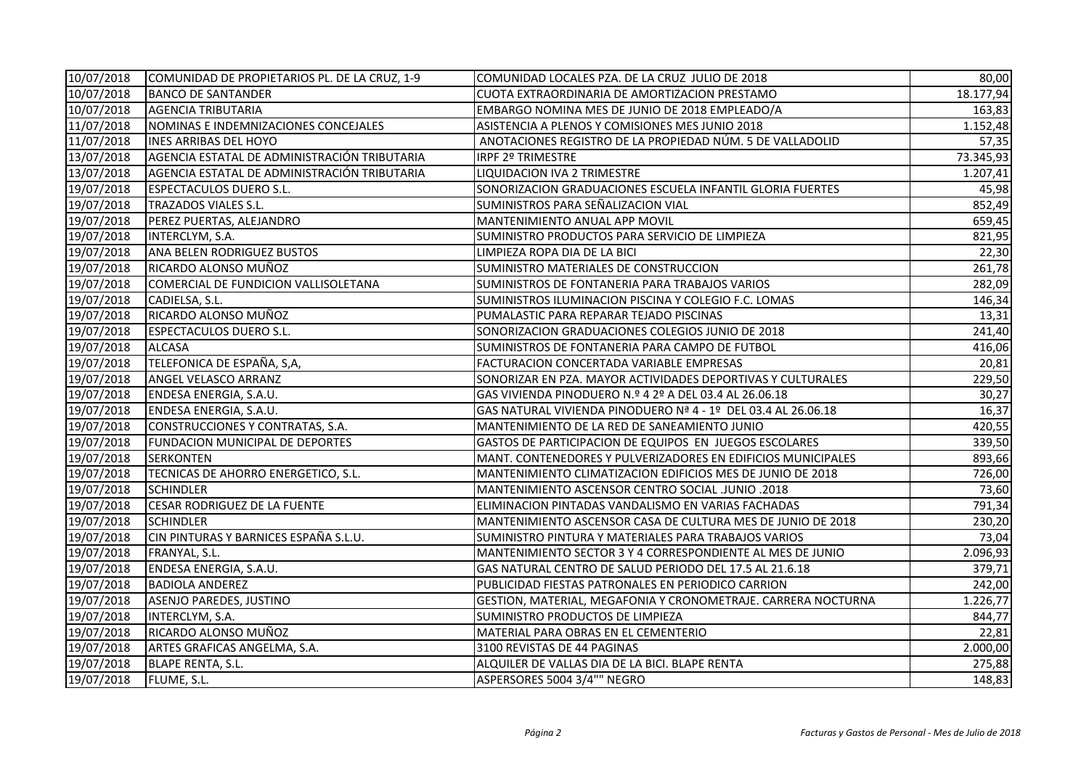| 10/07/2018 | COMUNIDAD DE PROPIETARIOS PL. DE LA CRUZ, 1-9 | COMUNIDAD LOCALES PZA. DE LA CRUZ JULIO DE 2018               | 80,00     |
|------------|-----------------------------------------------|---------------------------------------------------------------|-----------|
| 10/07/2018 | <b>BANCO DE SANTANDER</b>                     | CUOTA EXTRAORDINARIA DE AMORTIZACION PRESTAMO                 | 18.177,94 |
| 10/07/2018 | <b>AGENCIA TRIBUTARIA</b>                     | EMBARGO NOMINA MES DE JUNIO DE 2018 EMPLEADO/A                | 163,83    |
| 11/07/2018 | NOMINAS E INDEMNIZACIONES CONCEJALES          | ASISTENCIA A PLENOS Y COMISIONES MES JUNIO 2018               | 1.152,48  |
| 11/07/2018 | <b>INES ARRIBAS DEL HOYO</b>                  | ANOTACIONES REGISTRO DE LA PROPIEDAD NÚM. 5 DE VALLADOLID     | 57,35     |
| 13/07/2018 | AGENCIA ESTATAL DE ADMINISTRACIÓN TRIBUTARIA  | <b>IRPF 2º TRIMESTRE</b>                                      | 73.345,93 |
| 13/07/2018 | AGENCIA ESTATAL DE ADMINISTRACIÓN TRIBUTARIA  | LIQUIDACION IVA 2 TRIMESTRE                                   | 1.207,41  |
| 19/07/2018 | <b>ESPECTACULOS DUERO S.L.</b>                | SONORIZACION GRADUACIONES ESCUELA INFANTIL GLORIA FUERTES     | 45,98     |
| 19/07/2018 | <b>TRAZADOS VIALES S.L.</b>                   | SUMINISTROS PARA SEÑALIZACION VIAL                            | 852,49    |
| 19/07/2018 | PEREZ PUERTAS, ALEJANDRO                      | MANTENIMIENTO ANUAL APP MOVIL                                 | 659,45    |
| 19/07/2018 | INTERCLYM, S.A.                               | SUMINISTRO PRODUCTOS PARA SERVICIO DE LIMPIEZA                | 821,95    |
| 19/07/2018 | ANA BELEN RODRIGUEZ BUSTOS                    | LIMPIEZA ROPA DIA DE LA BICI                                  | 22,30     |
| 19/07/2018 | RICARDO ALONSO MUÑOZ                          | SUMINISTRO MATERIALES DE CONSTRUCCION                         | 261,78    |
| 19/07/2018 | COMERCIAL DE FUNDICION VALLISOLETANA          | SUMINISTROS DE FONTANERIA PARA TRABAJOS VARIOS                | 282,09    |
| 19/07/2018 | CADIELSA, S.L.                                | SUMINISTROS ILUMINACION PISCINA Y COLEGIO F.C. LOMAS          | 146,34    |
| 19/07/2018 | RICARDO ALONSO MUÑOZ                          | PUMALASTIC PARA REPARAR TEJADO PISCINAS                       | 13,31     |
| 19/07/2018 | <b>ESPECTACULOS DUERO S.L.</b>                | SONORIZACION GRADUACIONES COLEGIOS JUNIO DE 2018              | 241,40    |
| 19/07/2018 | <b>ALCASA</b>                                 | SUMINISTROS DE FONTANERIA PARA CAMPO DE FUTBOL                | 416,06    |
| 19/07/2018 | TELEFONICA DE ESPAÑA, S,A,                    | FACTURACION CONCERTADA VARIABLE EMPRESAS                      | 20,81     |
| 19/07/2018 | ANGEL VELASCO ARRANZ                          | SONORIZAR EN PZA. MAYOR ACTIVIDADES DEPORTIVAS Y CULTURALES   | 229,50    |
| 19/07/2018 | ENDESA ENERGIA, S.A.U.                        | GAS VIVIENDA PINODUERO N.º 4 2º A DEL 03.4 AL 26.06.18        | 30,27     |
| 19/07/2018 | ENDESA ENERGIA, S.A.U.                        | GAS NATURAL VIVIENDA PINODUERO Nª 4 - 1º DEL 03.4 AL 26.06.18 | 16,37     |
| 19/07/2018 | CONSTRUCCIONES Y CONTRATAS, S.A.              | MANTENIMIENTO DE LA RED DE SANEAMIENTO JUNIO                  | 420,55    |
| 19/07/2018 | FUNDACION MUNICIPAL DE DEPORTES               | GASTOS DE PARTICIPACION DE EQUIPOS EN JUEGOS ESCOLARES        | 339,50    |
| 19/07/2018 | <b>SERKONTEN</b>                              | MANT. CONTENEDORES Y PULVERIZADORES EN EDIFICIOS MUNICIPALES  | 893,66    |
| 19/07/2018 | TECNICAS DE AHORRO ENERGETICO, S.L.           | MANTENIMIENTO CLIMATIZACION EDIFICIOS MES DE JUNIO DE 2018    | 726,00    |
| 19/07/2018 | <b>SCHINDLER</b>                              | MANTENIMIENTO ASCENSOR CENTRO SOCIAL JUNIO .2018              | 73,60     |
| 19/07/2018 | CESAR RODRIGUEZ DE LA FUENTE                  | ELIMINACION PINTADAS VANDALISMO EN VARIAS FACHADAS            | 791,34    |
| 19/07/2018 | <b>SCHINDLER</b>                              | MANTENIMIENTO ASCENSOR CASA DE CULTURA MES DE JUNIO DE 2018   | 230,20    |
| 19/07/2018 | CIN PINTURAS Y BARNICES ESPAÑA S.L.U.         | SUMINISTRO PINTURA Y MATERIALES PARA TRABAJOS VARIOS          | 73,04     |
| 19/07/2018 | FRANYAL, S.L.                                 | MANTENIMIENTO SECTOR 3 Y 4 CORRESPONDIENTE AL MES DE JUNIO    | 2.096,93  |
| 19/07/2018 | ENDESA ENERGIA, S.A.U.                        | GAS NATURAL CENTRO DE SALUD PERIODO DEL 17.5 AL 21.6.18       | 379,71    |
| 19/07/2018 | <b>BADIOLA ANDEREZ</b>                        | PUBLICIDAD FIESTAS PATRONALES EN PERIODICO CARRION            | 242,00    |
| 19/07/2018 | <b>ASENJO PAREDES, JUSTINO</b>                | GESTION, MATERIAL, MEGAFONIA Y CRONOMETRAJE. CARRERA NOCTURNA | 1.226,77  |
| 19/07/2018 | INTERCLYM, S.A.                               | SUMINISTRO PRODUCTOS DE LIMPIEZA                              | 844,77    |
| 19/07/2018 | RICARDO ALONSO MUÑOZ                          | MATERIAL PARA OBRAS EN EL CEMENTERIO                          | 22,81     |
| 19/07/2018 | ARTES GRAFICAS ANGELMA, S.A.                  | 3100 REVISTAS DE 44 PAGINAS                                   | 2.000,00  |
| 19/07/2018 | <b>BLAPE RENTA, S.L.</b>                      | ALQUILER DE VALLAS DIA DE LA BICI. BLAPE RENTA                | 275,88    |
| 19/07/2018 | FLUME, S.L.                                   | ASPERSORES 5004 3/4"" NEGRO                                   | 148,83    |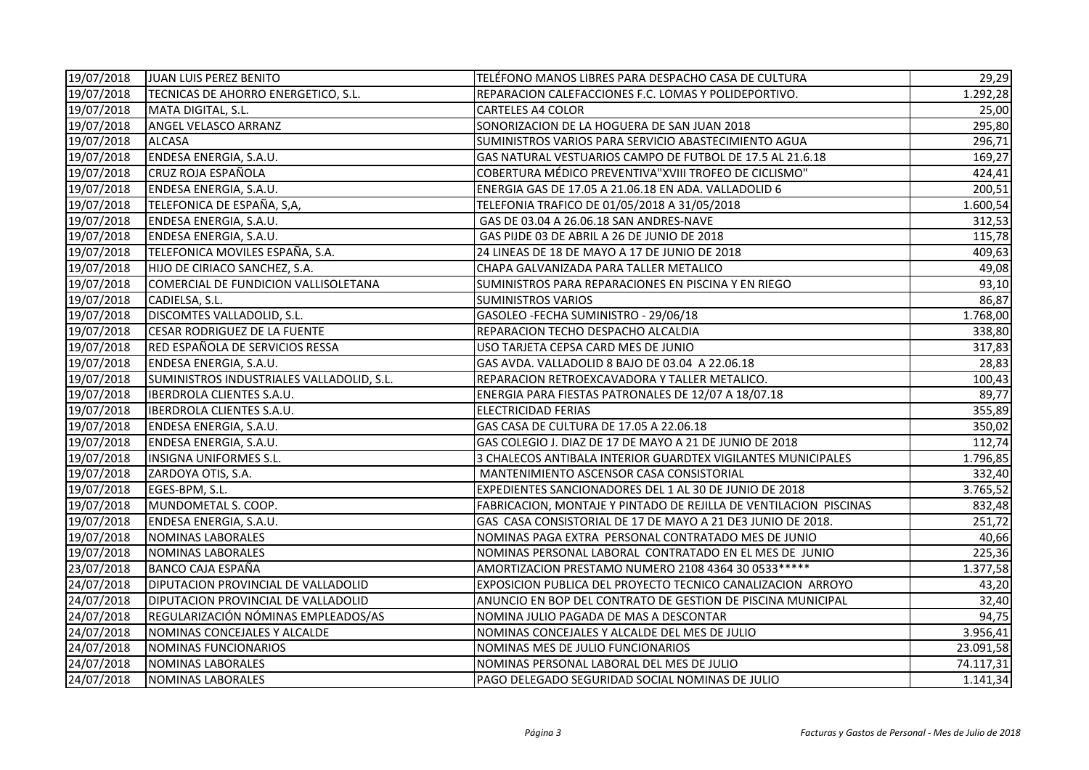| 19/07/2018 | JUAN LUIS PEREZ BENITO                    | TELÉFONO MANOS LIBRES PARA DESPACHO CASA DE CULTURA               | 29,29     |
|------------|-------------------------------------------|-------------------------------------------------------------------|-----------|
| 19/07/2018 | TECNICAS DE AHORRO ENERGETICO, S.L.       | REPARACION CALEFACCIONES F.C. LOMAS Y POLIDEPORTIVO.              | 1.292,28  |
| 19/07/2018 | MATA DIGITAL, S.L.                        | <b>CARTELES A4 COLOR</b>                                          | 25,00     |
| 19/07/2018 | ANGEL VELASCO ARRANZ                      | SONORIZACION DE LA HOGUERA DE SAN JUAN 2018                       | 295,80    |
| 19/07/2018 | <b>ALCASA</b>                             | SUMINISTROS VARIOS PARA SERVICIO ABASTECIMIENTO AGUA              | 296,71    |
| 19/07/2018 | ENDESA ENERGIA, S.A.U.                    | GAS NATURAL VESTUARIOS CAMPO DE FUTBOL DE 17.5 AL 21.6.18         | 169,27    |
| 19/07/2018 | CRUZ ROJA ESPAÑOLA                        | COBERTURA MÉDICO PREVENTIVA"XVIII TROFEO DE CICLISMO"             | 424,41    |
| 19/07/2018 | ENDESA ENERGIA, S.A.U.                    | ENERGIA GAS DE 17.05 A 21.06.18 EN ADA. VALLADOLID 6              | 200,51    |
| 19/07/2018 | TELEFONICA DE ESPAÑA, S,A,                | TELEFONIA TRAFICO DE 01/05/2018 A 31/05/2018                      | 1.600,54  |
| 19/07/2018 | ENDESA ENERGIA, S.A.U.                    | GAS DE 03.04 A 26.06.18 SAN ANDRES-NAVE                           | 312,53    |
| 19/07/2018 | ENDESA ENERGIA, S.A.U.                    | GAS PIJDE 03 DE ABRIL A 26 DE JUNIO DE 2018                       | 115,78    |
| 19/07/2018 | TELEFONICA MOVILES ESPAÑA, S.A.           | 24 LINEAS DE 18 DE MAYO A 17 DE JUNIO DE 2018                     | 409,63    |
| 19/07/2018 | HIJO DE CIRIACO SANCHEZ, S.A.             | CHAPA GALVANIZADA PARA TALLER METALICO                            | 49,08     |
| 19/07/2018 | COMERCIAL DE FUNDICION VALLISOLETANA      | SUMINISTROS PARA REPARACIONES EN PISCINA Y EN RIEGO               | 93,10     |
| 19/07/2018 | CADIELSA, S.L.                            | <b>SUMINISTROS VARIOS</b>                                         | 86,87     |
| 19/07/2018 | DISCOMTES VALLADOLID, S.L.                | GASOLEO - FECHA SUMINISTRO - 29/06/18                             | 1.768,00  |
| 19/07/2018 | <b>CESAR RODRIGUEZ DE LA FUENTE</b>       | REPARACION TECHO DESPACHO ALCALDIA                                | 338,80    |
| 19/07/2018 | RED ESPAÑOLA DE SERVICIOS RESSA           | USO TARJETA CEPSA CARD MES DE JUNIO                               | 317,83    |
| 19/07/2018 | ENDESA ENERGIA, S.A.U.                    | GAS AVDA. VALLADOLID 8 BAJO DE 03.04 A 22.06.18                   | 28,83     |
| 19/07/2018 | SUMINISTROS INDUSTRIALES VALLADOLID, S.L. | REPARACION RETROEXCAVADORA Y TALLER METALICO.                     | 100,43    |
| 19/07/2018 | <b>IBERDROLA CLIENTES S.A.U.</b>          | ENERGIA PARA FIESTAS PATRONALES DE 12/07 A 18/07.18               | 89,77     |
| 19/07/2018 | IBERDROLA CLIENTES S.A.U.                 | <b>ELECTRICIDAD FERIAS</b>                                        | 355,89    |
| 19/07/2018 | ENDESA ENERGIA, S.A.U.                    | GAS CASA DE CULTURA DE 17.05 A 22.06.18                           | 350,02    |
| 19/07/2018 | ENDESA ENERGIA, S.A.U.                    | GAS COLEGIO J. DIAZ DE 17 DE MAYO A 21 DE JUNIO DE 2018           | 112,74    |
| 19/07/2018 | <b>INSIGNA UNIFORMES S.L.</b>             | 3 CHALECOS ANTIBALA INTERIOR GUARDTEX VIGILANTES MUNICIPALES      | 1.796,85  |
| 19/07/2018 | ZARDOYA OTIS, S.A.                        | MANTENIMIENTO ASCENSOR CASA CONSISTORIAL                          | 332,40    |
| 19/07/2018 | EGES-BPM, S.L.                            | EXPEDIENTES SANCIONADORES DEL 1 AL 30 DE JUNIO DE 2018            | 3.765,52  |
| 19/07/2018 | MUNDOMETAL S. COOP.                       | FABRICACION, MONTAJE Y PINTADO DE REJILLA DE VENTILACION PISCINAS | 832,48    |
| 19/07/2018 | ENDESA ENERGIA, S.A.U.                    | GAS CASA CONSISTORIAL DE 17 DE MAYO A 21 DE3 JUNIO DE 2018.       | 251,72    |
| 19/07/2018 | <b>NOMINAS LABORALES</b>                  | NOMINAS PAGA EXTRA PERSONAL CONTRATADO MES DE JUNIO               | 40,66     |
| 19/07/2018 | <b>NOMINAS LABORALES</b>                  | NOMINAS PERSONAL LABORAL CONTRATADO EN EL MES DE JUNIO            | 225,36    |
| 23/07/2018 | BANCO CAJA ESPAÑA                         | AMORTIZACION PRESTAMO NUMERO 2108 4364 30 0533 *****              | 1.377,58  |
| 24/07/2018 | DIPUTACION PROVINCIAL DE VALLADOLID       | EXPOSICION PUBLICA DEL PROYECTO TECNICO CANALIZACION ARROYO       | 43,20     |
| 24/07/2018 | DIPUTACION PROVINCIAL DE VALLADOLID       | ANUNCIO EN BOP DEL CONTRATO DE GESTION DE PISCINA MUNICIPAL       | 32,40     |
| 24/07/2018 | REGULARIZACIÓN NÓMINAS EMPLEADOS/AS       | NOMINA JULIO PAGADA DE MAS A DESCONTAR                            | 94,75     |
| 24/07/2018 | NOMINAS CONCEJALES Y ALCALDE              | NOMINAS CONCEJALES Y ALCALDE DEL MES DE JULIO                     | 3.956,41  |
| 24/07/2018 | NOMINAS FUNCIONARIOS                      | NOMINAS MES DE JULIO FUNCIONARIOS                                 | 23.091,58 |
| 24/07/2018 | NOMINAS LABORALES                         | NOMINAS PERSONAL LABORAL DEL MES DE JULIO                         | 74.117,31 |
| 24/07/2018 | <b>NOMINAS LABORALES</b>                  | PAGO DELEGADO SEGURIDAD SOCIAL NOMINAS DE JULIO                   | 1.141,34  |